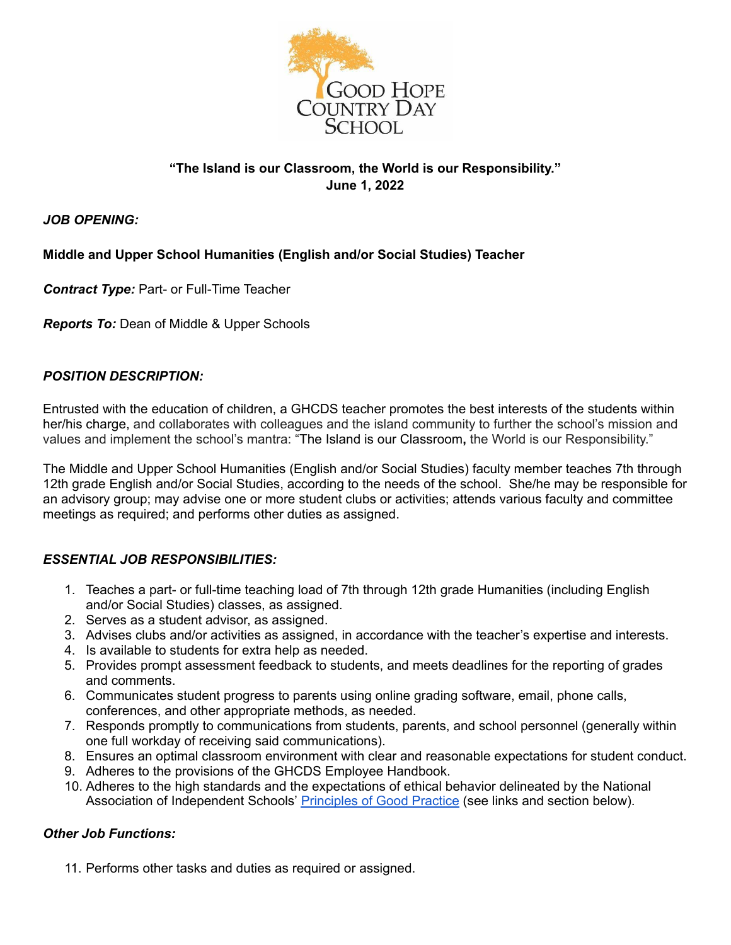

# **"The Island is our Classroom, the World is our Responsibility." June 1, 2022**

## *JOB OPENING:*

## **Middle and Upper School Humanities (English and/or Social Studies) Teacher**

*Contract Type:* Part- or Full-Time Teacher

*Reports To:* Dean of Middle & Upper Schools

## *POSITION DESCRIPTION:*

Entrusted with the education of children, a GHCDS teacher promotes the best interests of the students within her/his charge, and collaborates with colleagues and the island community to further the school's mission and values and implement the school's mantra: "The Island is our Classroom**,** the World is our Responsibility."

The Middle and Upper School Humanities (English and/or Social Studies) faculty member teaches 7th through 12th grade English and/or Social Studies, according to the needs of the school. She/he may be responsible for an advisory group; may advise one or more student clubs or activities; attends various faculty and committee meetings as required; and performs other duties as assigned.

### *ESSENTIAL JOB RESPONSIBILITIES:*

- 1. Teaches a part- or full-time teaching load of 7th through 12th grade Humanities (including English and/or Social Studies) classes, as assigned.
- 2. Serves as a student advisor, as assigned.
- 3. Advises clubs and/or activities as assigned, in accordance with the teacher's expertise and interests.
- 4. Is available to students for extra help as needed.
- 5. Provides prompt assessment feedback to students, and meets deadlines for the reporting of grades and comments.
- 6. Communicates student progress to parents using online grading software, email, phone calls, conferences, and other appropriate methods, as needed.
- 7. Responds promptly to communications from students, parents, and school personnel (generally within one full workday of receiving said communications).
- 8. Ensures an optimal classroom environment with clear and reasonable expectations for student conduct.
- 9. Adheres to the provisions of the GHCDS Employee Handbook.
- 10. Adheres to the high standards and the expectations of ethical behavior delineated by the National Association of Independent Schools' [Principles](https://www.nais.org/getmedia/39e99ca5-0821-47d7-b710-eeaf6e0ca114/NAIS_PGP_2017.pdf) of Good Practice (see links and section below).

## *Other Job Functions:*

11. Performs other tasks and duties as required or assigned.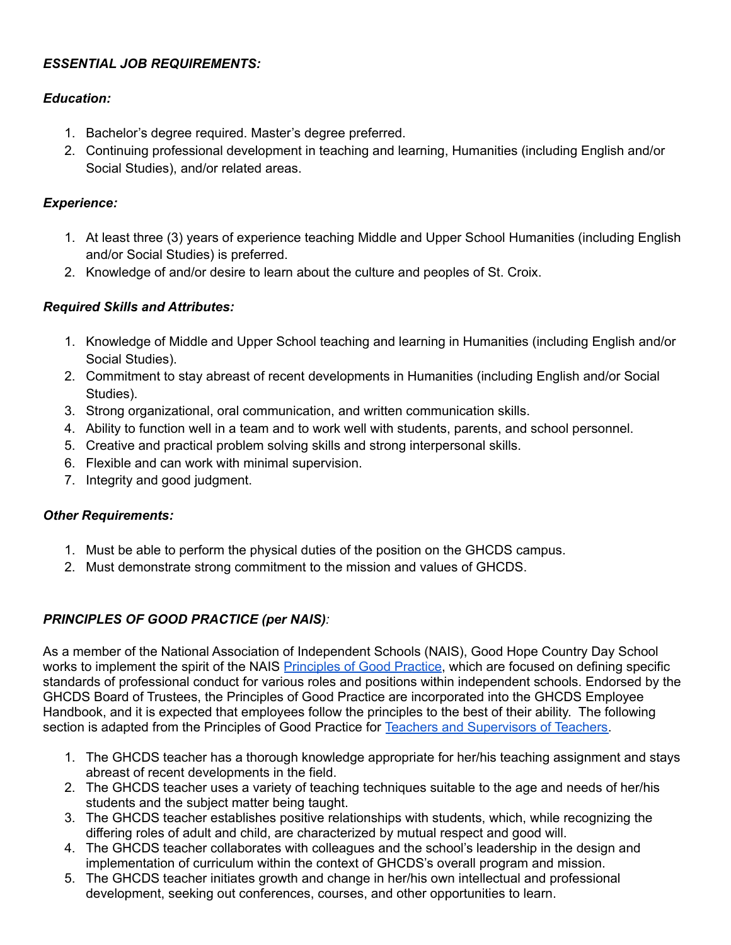# *ESSENTIAL JOB REQUIREMENTS:*

## *Education:*

- 1. Bachelor's degree required. Master's degree preferred.
- 2. Continuing professional development in teaching and learning, Humanities (including English and/or Social Studies), and/or related areas.

## *Experience:*

- 1. At least three (3) years of experience teaching Middle and Upper School Humanities (including English and/or Social Studies) is preferred.
- 2. Knowledge of and/or desire to learn about the culture and peoples of St. Croix.

## *Required Skills and Attributes:*

- 1. Knowledge of Middle and Upper School teaching and learning in Humanities (including English and/or Social Studies).
- 2. Commitment to stay abreast of recent developments in Humanities (including English and/or Social Studies).
- 3. Strong organizational, oral communication, and written communication skills.
- 4. Ability to function well in a team and to work well with students, parents, and school personnel.
- 5. Creative and practical problem solving skills and strong interpersonal skills.
- 6. Flexible and can work with minimal supervision.
- 7. Integrity and good judgment.

#### *Other Requirements:*

- 1. Must be able to perform the physical duties of the position on the GHCDS campus.
- 2. Must demonstrate strong commitment to the mission and values of GHCDS.

## *PRINCIPLES OF GOOD PRACTICE (per NAIS):*

As a member of the National Association of Independent Schools (NAIS), Good Hope Country Day School works to implement the spirit of the NAIS [Principles](https://www.nais.org/getmedia/39e99ca5-0821-47d7-b710-eeaf6e0ca114/NAIS_PGP_2017.pdf) of Good Practice, which are focused on defining specific standards of professional conduct for various roles and positions within independent schools. Endorsed by the GHCDS Board of Trustees, the Principles of Good Practice are incorporated into the GHCDS Employee Handbook, and it is expected that employees follow the principles to the best of their ability. The following section is adapted from the Principles of Good Practice for Teachers and [Supervisors](https://www.nais.org/learn/principles-of-good-practice/teachers-and-supervisors-of-teachers/) of Teachers.

- 1. The GHCDS teacher has a thorough knowledge appropriate for her/his teaching assignment and stays abreast of recent developments in the field.
- 2. The GHCDS teacher uses a variety of teaching techniques suitable to the age and needs of her/his students and the subject matter being taught.
- 3. The GHCDS teacher establishes positive relationships with students, which, while recognizing the differing roles of adult and child, are characterized by mutual respect and good will.
- 4. The GHCDS teacher collaborates with colleagues and the school's leadership in the design and implementation of curriculum within the context of GHCDS's overall program and mission.
- 5. The GHCDS teacher initiates growth and change in her/his own intellectual and professional development, seeking out conferences, courses, and other opportunities to learn.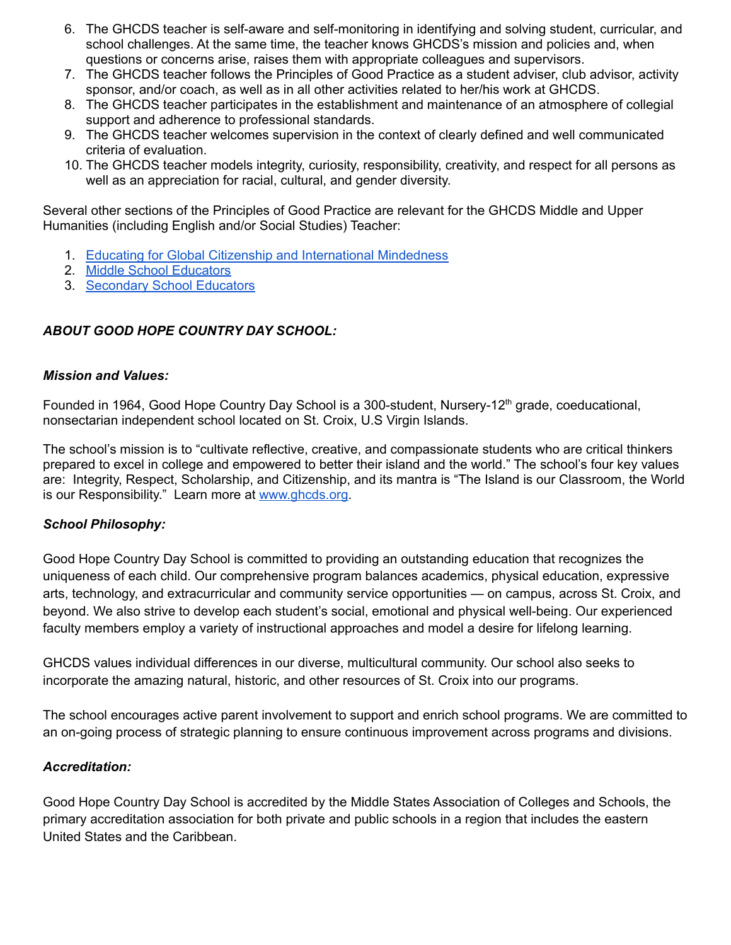- 6. The GHCDS teacher is self-aware and self-monitoring in identifying and solving student, curricular, and school challenges. At the same time, the teacher knows GHCDS's mission and policies and, when questions or concerns arise, raises them with appropriate colleagues and supervisors.
- 7. The GHCDS teacher follows the Principles of Good Practice as a student adviser, club advisor, activity sponsor, and/or coach, as well as in all other activities related to her/his work at GHCDS.
- 8. The GHCDS teacher participates in the establishment and maintenance of an atmosphere of collegial support and adherence to professional standards.
- 9. The GHCDS teacher welcomes supervision in the context of clearly defined and well communicated criteria of evaluation.
- 10. The GHCDS teacher models integrity, curiosity, responsibility, creativity, and respect for all persons as well as an appreciation for racial, cultural, and gender diversity.

Several other sections of the Principles of Good Practice are relevant for the GHCDS Middle and Upper Humanities (including English and/or Social Studies) Teacher:

- 1. Educating for Global Citizenship and [International](https://www.nais.org/learn/principles-of-good-practice/educating-for-global-citizenship/) Mindedness
- 2. Middle School [Educators](https://www.nais.org/learn/principles-of-good-practice/middle-school-educators/)
- 3. [Secondary](https://www.nais.org/learn/principles-of-good-practice/secondary-school-educators/) School Educators

## *ABOUT GOOD HOPE COUNTRY DAY SCHOOL:*

#### *Mission and Values:*

Founded in 1964, Good Hope Country Day School is a 300-student, Nursery-12<sup>th</sup> grade, coeducational, nonsectarian independent school located on St. Croix, U.S Virgin Islands.

The school's mission is to "cultivate reflective, creative, and compassionate students who are critical thinkers prepared to excel in college and empowered to better their island and the world." The school's four key values are: Integrity, Respect, Scholarship, and Citizenship, and its mantra is "The Island is our Classroom, the World is our Responsibility." Learn more at [www.ghcds.org.](http://www.ghcds.org)

#### *School Philosophy:*

Good Hope Country Day School is committed to providing an outstanding education that recognizes the uniqueness of each child. Our comprehensive program balances academics, physical education, expressive arts, technology, and extracurricular and community service opportunities — on campus, across St. Croix, and beyond. We also strive to develop each student's social, emotional and physical well-being. Our experienced faculty members employ a variety of instructional approaches and model a desire for lifelong learning.

GHCDS values individual differences in our diverse, multicultural community. Our school also seeks to incorporate the amazing natural, historic, and other resources of St. Croix into our programs.

The school encourages active parent involvement to support and enrich school programs. We are committed to an on-going process of strategic planning to ensure continuous improvement across programs and divisions.

#### *Accreditation:*

Good Hope Country Day School is accredited by the Middle States Association of Colleges and Schools, the primary accreditation association for both private and public schools in a region that includes the eastern United States and the Caribbean.